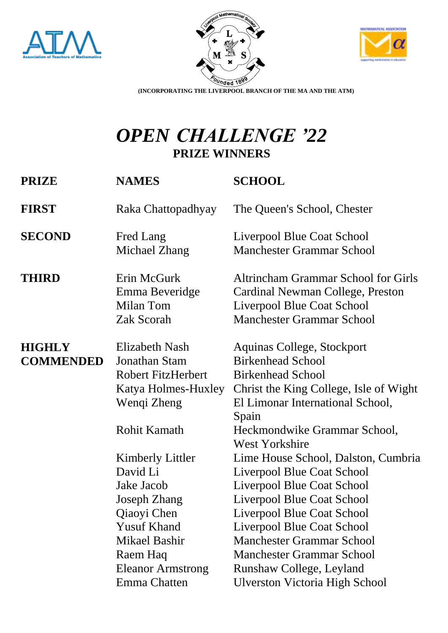





**(INCORPORATING THE LIVERPOOL BRANCH OF THE MA AND THE ATM)**

## *OPEN CHALLENGE '22* **PRIZE WINNERS**

| <b>PRIZE</b>                      | <b>NAMES</b>                                                                                                                                                                                                  | <b>SCHOOL</b>                                                                                                                                                                                                                                                                                                                                                                                   |
|-----------------------------------|---------------------------------------------------------------------------------------------------------------------------------------------------------------------------------------------------------------|-------------------------------------------------------------------------------------------------------------------------------------------------------------------------------------------------------------------------------------------------------------------------------------------------------------------------------------------------------------------------------------------------|
| <b>FIRST</b>                      | Raka Chattopadhyay                                                                                                                                                                                            | The Queen's School, Chester                                                                                                                                                                                                                                                                                                                                                                     |
| <b>SECOND</b>                     | Fred Lang<br>Michael Zhang                                                                                                                                                                                    | Liverpool Blue Coat School<br><b>Manchester Grammar School</b>                                                                                                                                                                                                                                                                                                                                  |
| <b>THIRD</b>                      | Erin McGurk<br>Emma Beveridge<br>Milan Tom<br>Zak Scorah                                                                                                                                                      | <b>Altrincham Grammar School for Girls</b><br>Cardinal Newman College, Preston<br>Liverpool Blue Coat School<br><b>Manchester Grammar School</b>                                                                                                                                                                                                                                                |
| <b>HIGHLY</b><br><b>COMMENDED</b> | <b>Elizabeth Nash</b><br>Jonathan Stam<br><b>Robert FitzHerbert</b><br>Katya Holmes-Huxley<br>Wenqi Zheng                                                                                                     | Aquinas College, Stockport<br><b>Birkenhead School</b><br><b>Birkenhead School</b><br>Christ the King College, Isle of Wight<br>El Limonar International School,<br>Spain                                                                                                                                                                                                                       |
|                                   | <b>Rohit Kamath</b><br>Kimberly Littler<br>David Li<br>Jake Jacob<br><b>Joseph Zhang</b><br>Qiaoyi Chen<br><b>Yusuf Khand</b><br><b>Mikael Bashir</b><br>Raem Haq<br><b>Eleanor Armstrong</b><br>Emma Chatten | Heckmondwike Grammar School,<br><b>West Yorkshire</b><br>Lime House School, Dalston, Cumbria<br>Liverpool Blue Coat School<br>Liverpool Blue Coat School<br>Liverpool Blue Coat School<br>Liverpool Blue Coat School<br>Liverpool Blue Coat School<br><b>Manchester Grammar School</b><br><b>Manchester Grammar School</b><br>Runshaw College, Leyland<br><b>Ulverston Victoria High School</b> |